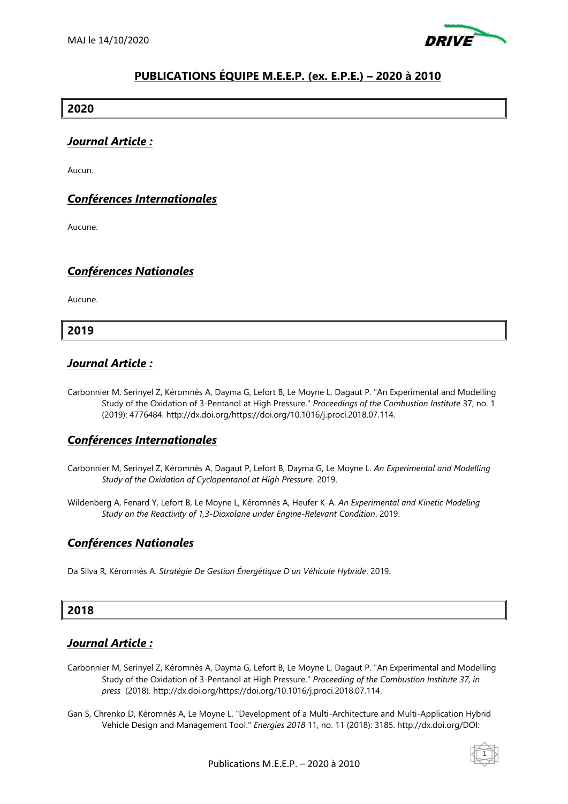

# **PUBLICATIONS ÉQUIPE M.E.E.P. (ex. E.P.E.) – 2020 à 2010**

#### **2020**

### *Journal Article :*

Aucun.

## *Conférences Internationales*

Aucune.

### *Conférences Nationales*

Aucune.

#### **2019**

#### *Journal Article :*

Carbonnier M, Serinyel Z, Kéromnès A, Dayma G, Lefort B, Le Moyne L, Dagaut P. "An Experimental and Modelling Study of the Oxidation of 3-Pentanol at High Pressure." *Proceedings of the Combustion Institute* 37, no. 1 (2019): 4776484. http://dx.doi.org/https://doi.org/10.1016/j.proci.2018.07.114.

### *Conférences Internationales*

- Carbonnier M, Serinyel Z, Kéromnès A, Dagaut P, Lefort B, Dayma G, Le Moyne L. *An Experimental and Modelling Study of the Oxidation of Cyclopentanol at High Pressure*. 2019.
- Wildenberg A, Fenard Y, Lefort B, Le Moyne L, Kéromnès A, Heufer K-A. *An Experimental and Kinetic Modeling Study on the Reactivity of 1,3-Dioxolane under Engine-Relevant Condition*. 2019.

### *Conférences Nationales*

Da Silva R, Kéromnès A. *Stratégie De Gestion Énergétique D'un Véhicule Hybride*. 2019.

### **2018**

### *Journal Article :*

- Carbonnier M, Serinyel Z, Kéromnès A, Dayma G, Lefort B, Le Moyne L, Dagaut P. "An Experimental and Modelling Study of the Oxidation of 3-Pentanol at High Pressure." *Proceeding of the Combustion Institute 37, in press* (2018). http://dx.doi.org/https://doi.org/10.1016/j.proci.2018.07.114.
- Gan S, Chrenko D, Kéromnès A, Le Moyne L. "Development of a Multi-Architecture and Multi-Application Hybrid Vehicle Design and Management Tool." *Energies 2018* 11, no. 11 (2018): 3185. http://dx.doi.org/DOI:

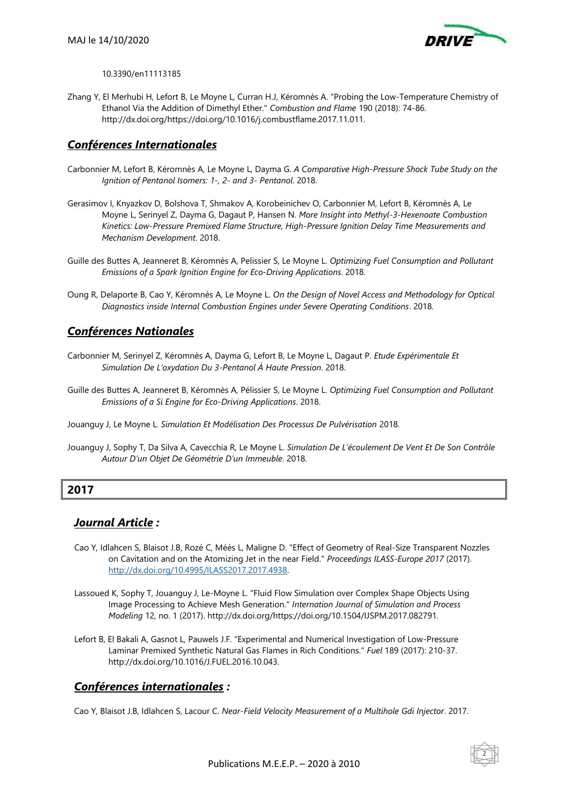

10.3390/en11113185

Zhang Y, El Merhubi H, Lefort B, Le Moyne L, Curran H.J, Kéromnès A. "Probing the Low-Temperature Chemistry of Ethanol Via the Addition of Dimethyl Ether." *Combustion and Flame* 190 (2018): 74-86. http://dx.doi.org/https://doi.org/10.1016/j.combustflame.2017.11.011.

# *Conférences Internationales*

- Carbonnier M, Lefort B, Kéromnès A, Le Moyne L, Dayma G. *A Comparative High-Pressure Shock Tube Study on the Ignition of Pentanol Isomers: 1-, 2- and 3- Pentanol*. 2018.
- Gerasimov I, Knyazkov D, Bolshova T, Shmakov A, Korobeinichev O, Carbonnier M, Lefort B, Kéromnès A, Le Moyne L, Serinyel Z, Dayma G, Dagaut P, Hansen N. *More Insight into Methyl-3-Hexenoate Combustion Kinetics: Low-Pressure Premixed Flame Structure, High-Pressure Ignition Delay Time Measurements and Mechanism Development*. 2018.
- Guille des Buttes A, Jeanneret B, Kéromnès A, Pelissier S, Le Moyne L. *Optimizing Fuel Consumption and Pollutant Emissions of a Spark Ignition Engine for Eco-Driving Applications*. 2018.
- Oung R, Delaporte B, Cao Y, Kéromnès A, Le Moyne L. *On the Design of Novel Access and Methodology for Optical Diagnostics inside Internal Combustion Engines under Severe Operating Conditions*. 2018.

### *Conférences Nationales*

- Carbonnier M, Serinyel Z, Kéromnès A, Dayma G, Lefort B, Le Moyne L, Dagaut P. *Etude Expérimentale Et Simulation De L'oxydation Du 3-Pentanol À Haute Pression*. 2018.
- Guille des Buttes A, Jeanneret B, Kéromnès A, Pélissier S, Le Moyne L. *Optimizing Fuel Consumption and Pollutant Emissions of a Si Engine for Eco-Driving Applications*. 2018.
- Jouanguy J, Le Moyne L. *Simulation Et Modélisation Des Processus De Pulvérisation* 2018.
- Jouanguy J, Sophy T, Da Silva A, Cavecchia R, Le Moyne L. *Simulation De L'écoulement De Vent Et De Son Contrôle Autour D'un Objet De Géométrie D'un Immeuble*. 2018.

### **2017**

## *Journal Article :*

- Cao Y, Idlahcen S, Blaisot J.B, Rozé C, Méès L, Maligne D. "Effect of Geometry of Real-Size Transparent Nozzles on Cavitation and on the Atomizing Jet in the near Field." *Proceedings ILASS-Europe 2017* (2017). [http://dx.doi.org/10.4995/ILASS2017.2017.4938.](http://dx.doi.org/10.4995/ILASS2017.2017.4938)
- Lassoued K, Sophy T, Jouanguy J, Le-Moyne L. "Fluid Flow Simulation over Complex Shape Objects Using Image Processing to Achieve Mesh Generation." *Internation Journal of Simulation and Process Modeling* 12, no. 1 (2017). http://dx.doi.org/https://doi.org/10.1504/IJSPM.2017.082791.
- Lefort B, El Bakali A, Gasnot L, Pauwels J.F. "Experimental and Numerical Investigation of Low-Pressure Laminar Premixed Synthetic Natural Gas Flames in Rich Conditions." *Fuel* 189 (2017): 210-37. http://dx.doi.org/10.1016/J.FUEL.2016.10.043.

## *Conférences internationales :*

Cao Y, Blaisot J.B, Idlahcen S, Lacour C. *Near-Field Velocity Measurement of a Multihole Gdi Injector*. 2017.

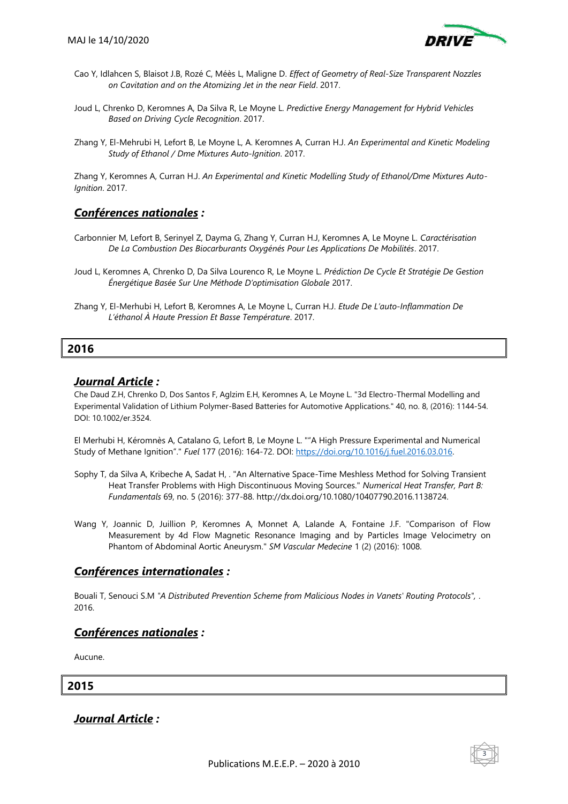

- Cao Y, Idlahcen S, Blaisot J.B, Rozé C, Méès L, Maligne D. *Effect of Geometry of Real-Size Transparent Nozzles on Cavitation and on the Atomizing Jet in the near Field*. 2017.
- Joud L, Chrenko D, Keromnes A, Da Silva R, Le Moyne L. *Predictive Energy Management for Hybrid Vehicles Based on Driving Cycle Recognition*. 2017.
- Zhang Y, El-Mehrubi H, Lefort B, Le Moyne L, A. Keromnes A, Curran H.J. *An Experimental and Kinetic Modeling Study of Ethanol / Dme Mixtures Auto-Ignition*. 2017.

Zhang Y, Keromnes A, Curran H.J. *An Experimental and Kinetic Modelling Study of Ethanol/Dme Mixtures Auto-Ignition*. 2017.

### *Conférences nationales :*

- Carbonnier M, Lefort B, Serinyel Z, Dayma G, Zhang Y, Curran H.J, Keromnes A, Le Moyne L. *Caractérisation De La Combustion Des Biocarburants Oxygénés Pour Les Applications De Mobilités*. 2017.
- Joud L, Keromnes A, Chrenko D, Da Silva Lourenco R, Le Moyne L. *Prédiction De Cycle Et Stratégie De Gestion Énergétique Basée Sur Une Méthode D'optimisation Globale* 2017.
- Zhang Y, El-Merhubi H, Lefort B, Keromnes A, Le Moyne L, Curran H.J. *Etude De L'auto-Inflammation De L'éthanol À Haute Pression Et Basse Température*. 2017.

#### **2016**

#### *Journal Article :*

Che Daud Z.H, Chrenko D, Dos Santos F, Aglzim E.H, Keromnes A, Le Moyne L. "3d Electro-Thermal Modelling and Experimental Validation of Lithium Polymer-Based Batteries for Automotive Applications." 40, no. 8, (2016): 1144-54. DOI: 10.1002/er.3524.

El Merhubi H, Kéromnès A, Catalano G, Lefort B, Le Moyne L. ""A High Pressure Experimental and Numerical Study of Methane Ignition"." *Fuel* 177 (2016): 164-72. DOI: [https://doi.org/10.1016/j.fuel.2016.03.016.](https://doi.org/10.1016/j.fuel.2016.03.016)

- Sophy T, da Silva A, Kribeche A, Sadat H, . "An Alternative Space-Time Meshless Method for Solving Transient Heat Transfer Problems with High Discontinuous Moving Sources." *Numerical Heat Transfer, Part B: Fundamentals* 69, no. 5 (2016): 377-88. http://dx.doi.org/10.1080/10407790.2016.1138724.
- Wang Y, Joannic D, Juillion P, Keromnes A, Monnet A, Lalande A, Fontaine J.F. "Comparison of Flow Measurement by 4d Flow Magnetic Resonance Imaging and by Particles Image Velocimetry on Phantom of Abdominal Aortic Aneurysm." *SM Vascular Medecine* 1 (2) (2016): 1008.

### *Conférences internationales :*

Bouali T, Senouci S.M *"A Distributed Prevention Scheme from Malicious Nodes in Vanets' Routing Protocols",* . 2016.

### *Conférences nationales :*

Aucune.

**2015**

*Journal Article :*

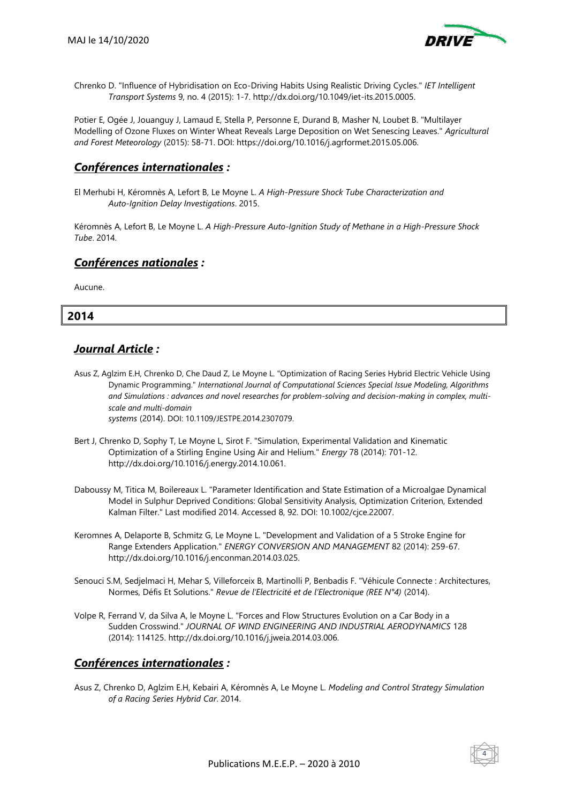

Chrenko D. "Influence of Hybridisation on Eco-Driving Habits Using Realistic Driving Cycles." *IET Intelligent Transport Systems* 9, no. 4 (2015): 1-7. http://dx.doi.org/10.1049/iet-its.2015.0005.

Potier E, Ogée J, Jouanguy J, Lamaud E, Stella P, Personne E, Durand B, Masher N, Loubet B. "Multilayer Modelling of Ozone Fluxes on Winter Wheat Reveals Large Deposition on Wet Senescing Leaves." *Agricultural and Forest Meteorology* (2015): 58-71. DOI: https://doi.org/10.1016/j.agrformet.2015.05.006.

### *Conférences internationales :*

El Merhubi H, Kéromnès A, Lefort B, Le Moyne L. *A High-Pressure Shock Tube Characterization and Auto-Ignition Delay Investigations*. 2015.

Kéromnès A, Lefort B, Le Moyne L. *A High-Pressure Auto-Ignition Study of Methane in a High-Pressure Shock Tube*. 2014.

### *Conférences nationales :*

Aucune.

### **2014**

### *Journal Article :*

- Asus Z, Aglzim E.H, Chrenko D, Che Daud Z, Le Moyne L. "Optimization of Racing Series Hybrid Electric Vehicle Using Dynamic Programming." *International Journal of Computational Sciences Special Issue Modeling, Algorithms and Simulations : advances and novel researches for problem-solving and decision-making in complex, multiscale and multi-domain systems* (2014). DOI: 10.1109/JESTPE.2014.2307079.
- Bert J, Chrenko D, Sophy T, Le Moyne L, Sirot F. "Simulation, Experimental Validation and Kinematic Optimization of a Stirling Engine Using Air and Helium." *Energy* 78 (2014): 701-12. http://dx.doi.org/10.1016/j.energy.2014.10.061.
- Daboussy M, Titica M, Boilereaux L. "Parameter Identification and State Estimation of a Microalgae Dynamical Model in Sulphur Deprived Conditions: Global Sensitivity Analysis, Optimization Criterion, Extended Kalman Filter." Last modified 2014. Accessed 8, 92. DOI: 10.1002/cjce.22007.
- Keromnes A, Delaporte B, Schmitz G, Le Moyne L. "Development and Validation of a 5 Stroke Engine for Range Extenders Application." *ENERGY CONVERSION AND MANAGEMENT* 82 (2014): 259-67. http://dx.doi.org/10.1016/j.enconman.2014.03.025.
- Senouci S.M, Sedjelmaci H, Mehar S, Villeforceix B, Martinolli P, Benbadis F. "Véhicule Connecte : Architectures, Normes, Défis Et Solutions." *Revue de l'Electricité et de l'Electronique (REE N°4)* (2014).
- Volpe R, Ferrand V, da Silva A, le Moyne L. "Forces and Flow Structures Evolution on a Car Body in a Sudden Crosswind." *JOURNAL OF WIND ENGINEERING AND INDUSTRIAL AERODYNAMICS* 128 (2014): 114125. http://dx.doi.org/10.1016/j.jweia.2014.03.006.

### *Conférences internationales :*

Asus Z, Chrenko D, Aglzim E.H, Kebairi A, Kéromnès A, Le Moyne L. *Modeling and Control Strategy Simulation of a Racing Series Hybrid Car*. 2014.

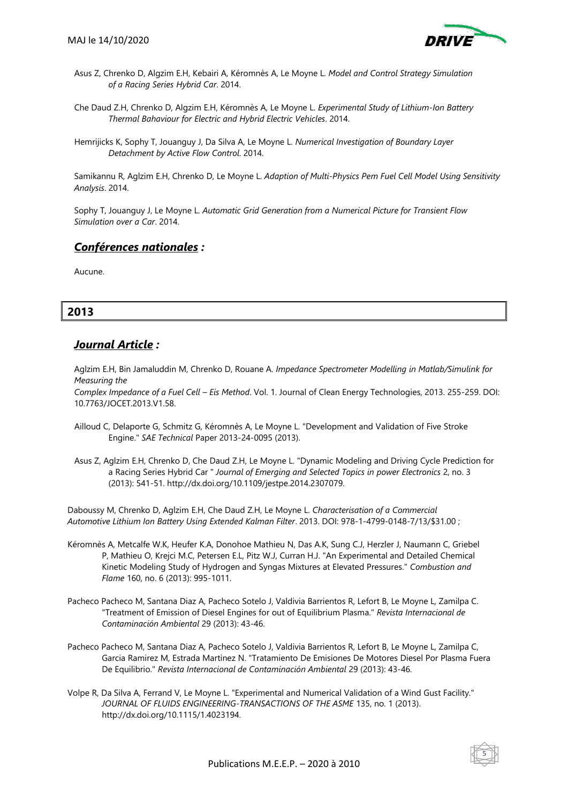

- Asus Z, Chrenko D, Algzim E.H, Kebairi A, Kéromnès A, Le Moyne L. *Model and Control Strategy Simulation of a Racing Series Hybrid Car*. 2014.
- Che Daud Z.H, Chrenko D, Algzim E.H, Kéromnès A, Le Moyne L. *Experimental Study of Lithium-Ion Battery Thermal Bahaviour for Electric and Hybrid Electric Vehicles*. 2014.
- Hemrijicks K, Sophy T, Jouanguy J, Da Silva A, Le Moyne L. *Numerical Investigation of Boundary Layer Detachment by Active Flow Control*. 2014.

Samikannu R, Aglzim E.H, Chrenko D, Le Moyne L. *Adaption of Multi-Physics Pem Fuel Cell Model Using Sensitivity Analysis*. 2014.

Sophy T, Jouanguy J, Le Moyne L. *Automatic Grid Generation from a Numerical Picture for Transient Flow Simulation over a Car*. 2014.

### *Conférences nationales :*

Aucune.

## **2013**

### *Journal Article :*

Aglzim E.H, Bin Jamaluddin M, Chrenko D, Rouane A. *Impedance Spectrometer Modelling in Matlab/Simulink for Measuring the*

*Complex Impedance of a Fuel Cell – Eis Method*. Vol. 1. Journal of Clean Energy Technologies, 2013. 255-259. DOI: 10.7763/JOCET.2013.V1.58.

- Ailloud C, Delaporte G, Schmitz G, Kéromnès A, Le Moyne L. "Development and Validation of Five Stroke Engine." *SAE Technical* Paper 2013-24-0095 (2013).
- Asus Z, Aglzim E.H, Chrenko D, Che Daud Z.H, Le Moyne L. "Dynamic Modeling and Driving Cycle Prediction for a Racing Series Hybrid Car " *Journal of Emerging and Selected Topics in power Electronics* 2, no. 3 (2013): 541-51. http://dx.doi.org/10.1109/jestpe.2014.2307079.

Daboussy M, Chrenko D, Aglzim E.H, Che Daud Z.H, Le Moyne L. *Characterisation of a Commercial Automotive Lithium Ion Battery Using Extended Kalman Filter*. 2013. DOI: 978-1-4799-0148-7/13/\$31.00 ;

- Kéromnès A, Metcalfe W.K, Heufer K.A, Donohoe Mathieu N, Das A.K, Sung C.J, Herzler J, Naumann C, Griebel P, Mathieu O, Krejci M.C, Petersen E.L, Pitz W.J, Curran H.J. "An Experimental and Detailed Chemical Kinetic Modeling Study of Hydrogen and Syngas Mixtures at Elevated Pressures." *Combustion and Flame* 160, no. 6 (2013): 995-1011.
- Pacheco Pacheco M, Santana Diaz A, Pacheco Sotelo J, Valdivia Barrientos R, Lefort B, Le Moyne L, Zamilpa C. "Treatment of Emission of Diesel Engines for out of Equilibrium Plasma." *Revista Internacional de Contaminación Ambiental* 29 (2013): 43-46.
- Pacheco Pacheco M, Santana Diaz A, Pacheco Sotelo J, Valdivia Barrientos R, Lefort B, Le Moyne L, Zamilpa C, Garcia Ramirez M, Estrada Martinez N. "Tratamiento De Emisiones De Motores Diesel Por Plasma Fuera De Equilibrio." *Revista Internacional de Contaminación Ambiental* 29 (2013): 43-46.
- Volpe R, Da Silva A, Ferrand V, Le Moyne L. "Experimental and Numerical Validation of a Wind Gust Facility." *JOURNAL OF FLUIDS ENGINEERING-TRANSACTIONS OF THE ASME* 135, no. 1 (2013). http://dx.doi.org/10.1115/1.4023194.

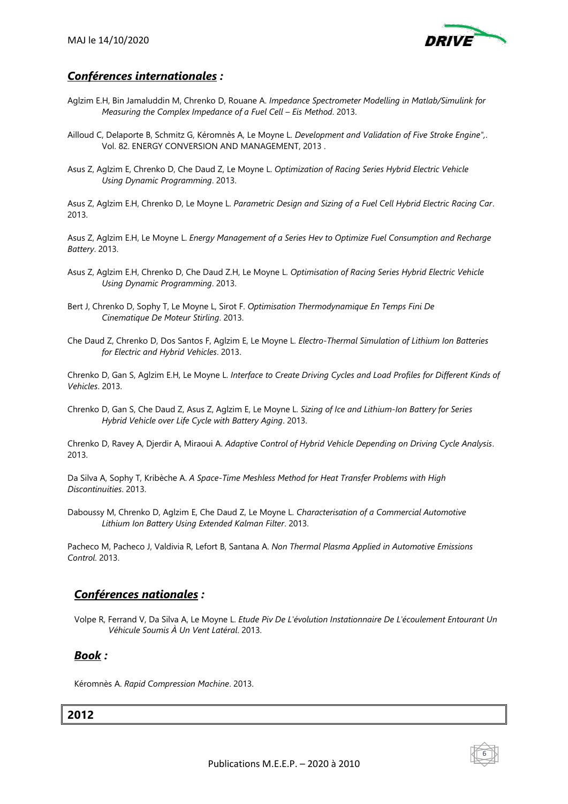

# *Conférences internationales :*

- Aglzim E.H, Bin Jamaluddin M, Chrenko D, Rouane A. *Impedance Spectrometer Modelling in Matlab/Simulink for Measuring the Complex Impedance of a Fuel Cell – Eis Method.* 2013.
- Ailloud C, Delaporte B, Schmitz G, Kéromnès A, Le Moyne L. *Development and Validation of Five Stroke Engine",*. Vol. 82. ENERGY CONVERSION AND MANAGEMENT, 2013 .
- Asus Z, Aglzim E, Chrenko D, Che Daud Z, Le Moyne L. *Optimization of Racing Series Hybrid Electric Vehicle Using Dynamic Programming*. 2013.

Asus Z, Aglzim E.H, Chrenko D, Le Moyne L. *Parametric Design and Sizing of a Fuel Cell Hybrid Electric Racing Car*. 2013.

Asus Z, Aglzim E.H, Le Moyne L. *Energy Management of a Series Hev to Optimize Fuel Consumption and Recharge Battery*. 2013.

- Asus Z, Aglzim E.H, Chrenko D, Che Daud Z.H, Le Moyne L. *Optimisation of Racing Series Hybrid Electric Vehicle Using Dynamic Programming*. 2013.
- Bert J, Chrenko D, Sophy T, Le Moyne L, Sirot F. *Optimisation Thermodynamique En Temps Fini De Cinematique De Moteur Stirling*. 2013.
- Che Daud Z, Chrenko D, Dos Santos F, Aglzim E, Le Moyne L. *Electro-Thermal Simulation of Lithium Ion Batteries for Electric and Hybrid Vehicles*. 2013.

Chrenko D, Gan S, Aglzim E.H, Le Moyne L. *Interface to Create Driving Cycles and Load Profiles for Different Kinds of Vehicles*. 2013.

Chrenko D, Gan S, Che Daud Z, Asus Z, Aglzim E, Le Moyne L. *Sizing of Ice and Lithium-Ion Battery for Series Hybrid Vehicle over Life Cycle with Battery Aging*. 2013.

Chrenko D, Ravey A, Djerdir A, Miraoui A. *Adaptive Control of Hybrid Vehicle Depending on Driving Cycle Analysis*. 2013.

Da Silva A, Sophy T, Kribèche A. *A Space-Time Meshless Method for Heat Transfer Problems with High Discontinuities*. 2013.

Daboussy M, Chrenko D, Aglzim E, Che Daud Z, Le Moyne L. *Characterisation of a Commercial Automotive Lithium Ion Battery Using Extended Kalman Filter*. 2013.

Pacheco M, Pacheco J, Valdivia R, Lefort B, Santana A. *Non Thermal Plasma Applied in Automotive Emissions Control*. 2013.

## *Conférences nationales :*

Volpe R, Ferrand V, Da Silva A, Le Moyne L. *Etude Piv De L'évolution Instationnaire De L'écoulement Entourant Un Véhicule Soumis À Un Vent Latéral*. 2013.

## *Book :*

Kéromnès A. *Rapid Compression Machine*. 2013.

### **2012**



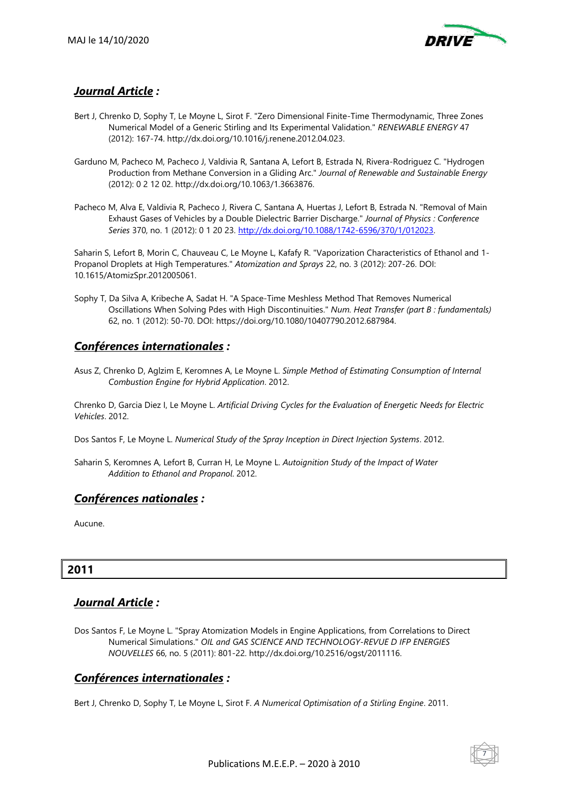

# *Journal Article :*

- Bert J, Chrenko D, Sophy T, Le Moyne L, Sirot F. "Zero Dimensional Finite-Time Thermodynamic, Three Zones Numerical Model of a Generic Stirling and Its Experimental Validation." *RENEWABLE ENERGY* 47 (2012): 167-74. http://dx.doi.org/10.1016/j.renene.2012.04.023.
- Garduno M, Pacheco M, Pacheco J, Valdivia R, Santana A, Lefort B, Estrada N, Rivera-Rodriguez C. "Hydrogen Production from Methane Conversion in a Gliding Arc." *Journal of Renewable and Sustainable Energy* (2012): 0 2 12 02. http://dx.doi.org/10.1063/1.3663876.
- Pacheco M, Alva E, Valdivia R, Pacheco J, Rivera C, Santana A, Huertas J, Lefort B, Estrada N. "Removal of Main Exhaust Gases of Vehicles by a Double Dielectric Barrier Discharge." *Journal of Physics : Conference Series* 370, no. 1 (2012): 0 1 20 23. [http://dx.doi.org/10.1088/1742-6596/370/1/012023.](http://dx.doi.org/10.1088/1742-6596/370/1/012023)

Saharin S, Lefort B, Morin C, Chauveau C, Le Moyne L, Kafafy R. "Vaporization Characteristics of Ethanol and 1- Propanol Droplets at High Temperatures." *Atomization and Sprays* 22, no. 3 (2012): 207-26. DOI: 10.1615/AtomizSpr.2012005061.

Sophy T, Da Silva A, Kribeche A, Sadat H. "A Space-Time Meshless Method That Removes Numerical Oscillations When Solving Pdes with High Discontinuities." *Num. Heat Transfer (part B : fundamentals)* 62, no. 1 (2012): 50-70. DOI: https://doi.org/10.1080/10407790.2012.687984.

### *Conférences internationales :*

Asus Z, Chrenko D, Aglzim E, Keromnes A, Le Moyne L. *Simple Method of Estimating Consumption of Internal Combustion Engine for Hybrid Application*. 2012.

Chrenko D, Garcia Diez I, Le Moyne L. *Artificial Driving Cycles for the Evaluation of Energetic Needs for Electric Vehicles*. 2012.

Dos Santos F, Le Moyne L. *Numerical Study of the Spray Inception in Direct Injection Systems*. 2012.

Saharin S, Keromnes A, Lefort B, Curran H, Le Moyne L. *Autoignition Study of the Impact of Water Addition to Ethanol and Propanol*. 2012.

## *Conférences nationales :*

Aucune.

# **2011**

## *Journal Article :*

Dos Santos F, Le Moyne L. "Spray Atomization Models in Engine Applications, from Correlations to Direct Numerical Simulations." *OIL and GAS SCIENCE AND TECHNOLOGY-REVUE D IFP ENERGIES NOUVELLES* 66, no. 5 (2011): 801-22. http://dx.doi.org/10.2516/ogst/2011116.

## *Conférences internationales :*

Bert J, Chrenko D, Sophy T, Le Moyne L, Sirot F. *A Numerical Optimisation of a Stirling Engine*. 2011.